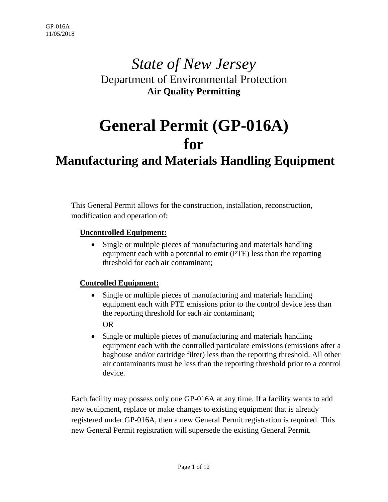# *State of New Jersey* Department of Environmental Protection **Air Quality Permitting**

# **General Permit (GP-016A) for**

# **Manufacturing and Materials Handling Equipment**

This General Permit allows for the construction, installation, reconstruction, modification and operation of:

#### **Uncontrolled Equipment:**

• Single or multiple pieces of manufacturing and materials handling equipment each with a potential to emit (PTE) less than the reporting threshold for each air contaminant;

#### **Controlled Equipment:**

- Single or multiple pieces of manufacturing and materials handling equipment each with PTE emissions prior to the control device less than the reporting threshold for each air contaminant; OR
- Single or multiple pieces of manufacturing and materials handling equipment each with the controlled particulate emissions (emissions after a baghouse and/or cartridge filter) less than the reporting threshold. All other air contaminants must be less than the reporting threshold prior to a control device.

Each facility may possess only one GP-016A at any time. If a facility wants to add new equipment, replace or make changes to existing equipment that is already registered under GP-016A, then a new General Permit registration is required. This new General Permit registration will supersede the existing General Permit.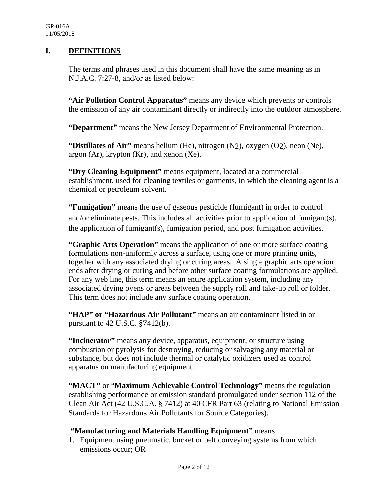#### **I. DEFINITIONS**

The terms and phrases used in this document shall have the same meaning as in N.J.A.C. 7:27-8, and/or as listed below:

**"Air Pollution Control Apparatus"** means any device which prevents or controls the emission of any air contaminant directly or indirectly into the outdoor atmosphere.

**"Department"** means the New Jersey Department of Environmental Protection.

**"Distillates of Air"** means helium (He), nitrogen (N2), oxygen (O2), neon (Ne),  $argon (Ar)$ , krypton  $(Kr)$ , and xenon  $(Xe)$ .

**"Dry Cleaning Equipment"** means equipment, located at a commercial establishment, used for cleaning textiles or garments, in which the cleaning agent is a chemical or petroleum solvent.

**"Fumigation"** means the use of gaseous pesticide (fumigant) in order to control and/or eliminate pests. This includes all activities prior to application of fumigant(s), the application of fumigant(s), fumigation period, and post fumigation activities.

**"Graphic Arts Operation"** means the application of one or more surface coating formulations non-uniformly across a surface, using one or more printing units, together with any associated drying or curing areas. A single graphic arts operation ends after drying or curing and before other surface coating formulations are applied. For any web line, this term means an entire application system, including any associated drying ovens or areas between the supply roll and take-up roll or folder. This term does not include any surface coating operation.

"HAP" or "Hazardous Air Pollutant" means an air contaminant listed in or pursuant to 42 U.S.C. §7412(b).

**"Incinerator"** means any device, apparatus, equipment, or structure using combustion or pyrolysis for destroying, reducing or salvaging any material or substance, but does not include thermal or catalytic oxidizers used as control apparatus on manufacturing equipment.

**"MACT"** or "**Maximum Achievable Control Technology"** means the regulation establishing performance or emission standard promulgated under section 112 of the Clean Air Act (42 U.S.C.A. § 7412) at 40 CFR Part 63 (relating to National Emission Standards for Hazardous Air Pollutants for Source Categories).

#### **"Manufacturing and Materials Handling Equipment"** means

1. Equipment using pneumatic, bucket or belt conveying systems from which emissions occur; OR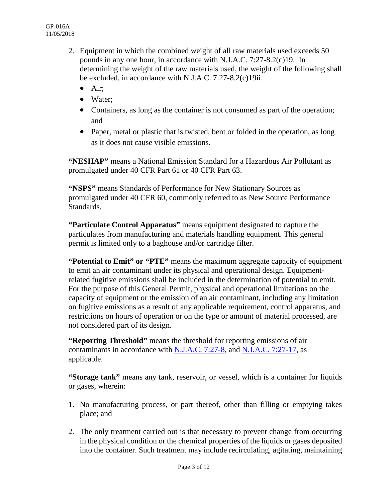- 2. Equipment in which the combined weight of all raw materials used exceeds 50 pounds in any one hour, in accordance with N.J.A.C. 7:27-8.2(c)19. In determining the weight of the raw materials used, the weight of the following shall be excluded, in accordance with N.J.A.C. 7:27-8.2(c)19ii.
	- $\bullet$  Air:
	- Water:
	- Containers, as long as the container is not consumed as part of the operation; and
	- Paper, metal or plastic that is twisted, bent or folded in the operation, as long as it does not cause visible emissions.

**"NESHAP"** means a National Emission Standard for a Hazardous Air Pollutant as promulgated under 40 CFR Part 61 or 40 CFR Part 63.

**"NSPS"** means Standards of Performance for New Stationary Sources as promulgated under 40 CFR 60, commonly referred to as New Source Performance Standards.

**"Particulate Control Apparatus"** means equipment designated to capture the particulates from manufacturing and materials handling equipment. This general permit is limited only to a baghouse and/or cartridge filter.

**"Potential to Emit" or "PTE"** means the maximum aggregate capacity of equipment to emit an air contaminant under its physical and operational design. Equipmentrelated fugitive emissions shall be included in the determination of potential to emit. For the purpose of this General Permit, physical and operational limitations on the capacity of equipment or the emission of an air contaminant, including any limitation on fugitive emissions as a result of any applicable requirement, control apparatus, and restrictions on hours of operation or on the type or amount of material processed, are not considered part of its design.

**"Reporting Threshold"** means the threshold for reporting emissions of air contaminants in accordance with [N.J.A.C. 7:27-8,](http://www.state.nj.us/dep/aqm/Sub8v2015.pdf) and N.J.A.C. 7:27-17, as applicable.

**"Storage tank"** means any tank, reservoir, or vessel, which is a container for liquids or gases, wherein:

- 1. No manufacturing process, or part thereof, other than filling or emptying takes place; and
- 2. The only treatment carried out is that necessary to prevent change from occurring in the physical condition or the chemical properties of the liquids or gases deposited into the container. Such treatment may include recirculating, agitating, maintaining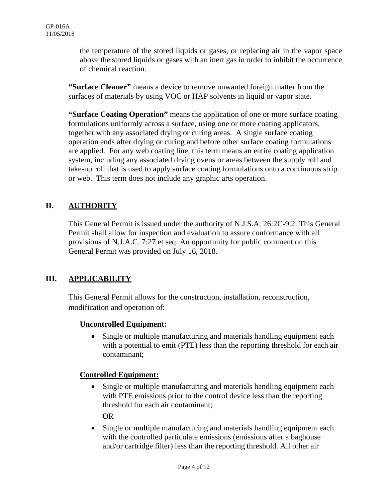the temperature of the stored liquids or gases, or replacing air in the vapor space above the stored liquids or gases with an inert gas in order to inhibit the occurrence of chemical reaction.

**"Surface Cleaner"** means a device to remove unwanted foreign matter from the surfaces of materials by using VOC or HAP solvents in liquid or vapor state.

**"Surface Coating Operation"** means the application of one or more surface coating formulations uniformly across a surface, using one or more coating applicators, together with any associated drying or curing areas. A single surface coating operation ends after drying or curing and before other surface coating formulations are applied. For any web coating line, this term means an entire coating application system, including any associated drying ovens or areas between the supply roll and take-up roll that is used to apply surface coating formulations onto a continuous strip or web. This term does not include any graphic arts operation.

#### **II. AUTHORITY**

This General Permit is issued under the authority of N.J.S.A. 26:2C-9.2. This General Permit shall allow for inspection and evaluation to assure conformance with all provisions of N.J.A.C. 7:27 et seq. An opportunity for public comment on this General Permit was provided on July 16, 2018.

## **III. APPLICABILITY**

This General Permit allows for the construction, installation, reconstruction, modification and operation of:

#### **Uncontrolled Equipment:**

• Single or multiple manufacturing and materials handling equipment each with a potential to emit (PTE) less than the reporting threshold for each air contaminant;

#### **Controlled Equipment:**

• Single or multiple manufacturing and materials handling equipment each with PTE emissions prior to the control device less than the reporting threshold for each air contaminant;

OR

• Single or multiple manufacturing and materials handling equipment each with the controlled particulate emissions (emissions after a baghouse and/or cartridge filter) less than the reporting threshold. All other air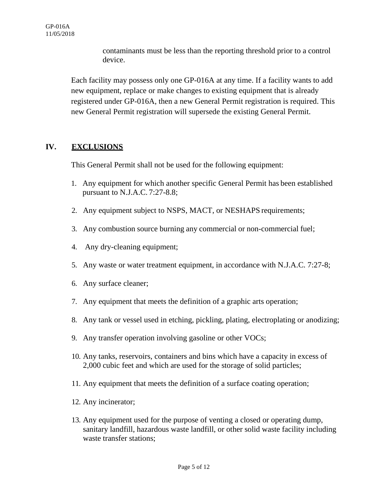contaminants must be less than the reporting threshold prior to a control device.

Each facility may possess only one GP-016A at any time. If a facility wants to add new equipment, replace or make changes to existing equipment that is already registered under GP-016A, then a new General Permit registration is required. This new General Permit registration will supersede the existing General Permit.

#### **IV. EXCLUSIONS**

This General Permit shall not be used for the following equipment:

- 1. Any equipment for which another specific General Permit has been established pursuant to N.J.A.C. 7:27-8.8;
- 2. Any equipment subject to NSPS, MACT, or NESHAPS requirements;
- 3. Any combustion source burning any commercial or non-commercial fuel;
- 4. Any dry-cleaning equipment;
- 5. Any waste or water treatment equipment, in accordance with N.J.A.C. 7:27-8;
- 6. Any surface cleaner;
- 7. Any equipment that meets the definition of a graphic arts operation;
- 8. Any tank or vessel used in etching, pickling, plating, electroplating or anodizing;
- 9. Any transfer operation involving gasoline or other VOCs;
- 10. Any tanks, reservoirs, containers and bins which have a capacity in excess of 2,000 cubic feet and which are used for the storage of solid particles;
- 11. Any equipment that meets the definition of a surface coating operation;
- 12. Any incinerator;
- 13. Any equipment used for the purpose of venting a closed or operating dump, sanitary landfill, hazardous waste landfill, or other solid waste facility including waste transfer stations;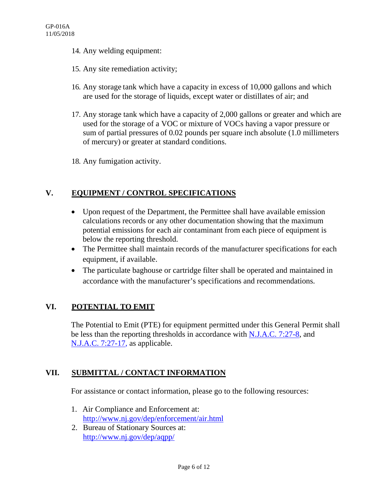- 14. Any welding equipment:
- 15. Any site remediation activity;
- 16. Any storage tank which have a capacity in excess of 10,000 gallons and which are used for the storage of liquids, except water or distillates of air; and
- 17. Any storage tank which have a capacity of 2,000 gallons or greater and which are used for the storage of a VOC or mixture of VOCs having a vapor pressure or sum of partial pressures of 0.02 pounds per square inch absolute (1.0 millimeters of mercury) or greater at standard conditions.
- 18. Any fumigation activity.

#### **V. EQUIPMENT / CONTROL SPECIFICATIONS**

- Upon request of the Department, the Permittee shall have available emission calculations records or any other documentation showing that the maximum potential emissions for each air contaminant from each piece of equipment is below the reporting threshold.
- The Permittee shall maintain records of the manufacturer specifications for each equipment, if available.
- The particulate baghouse or cartridge filter shall be operated and maintained in accordance with the manufacturer's specifications and recommendations.

## **VI. POTENTIAL TO EMIT**

The Potential to Emit (PTE) for equipment permitted under this General Permit shall be less than the reporting thresholds in accordance with [N.J.A.C. 7:27-8,](http://www.state.nj.us/dep/aqm/Sub8v2015.pdf) and N.J.A.C. 7:27-17, as applicable.

## **VII. SUBMITTAL / CONTACT INFORMATION**

For assistance or contact information, please go to the following resources:

- 1. Air Compliance and Enforcement at: <http://www.nj.gov/dep/enforcement/air.html>
- 2. Bureau of Stationary Sources at: <http://www.nj.gov/dep/aqpp/>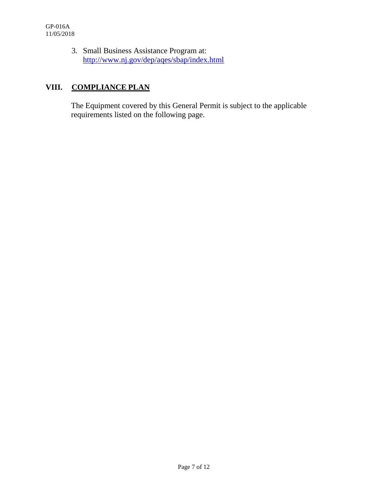3. Small Business Assistance Program at: <http://www.nj.gov/dep/aqes/sbap/index.html>

# **VIII. COMPLIANCE PLAN**

The Equipment covered by this General Permit is subject to the applicable requirements listed on the following page.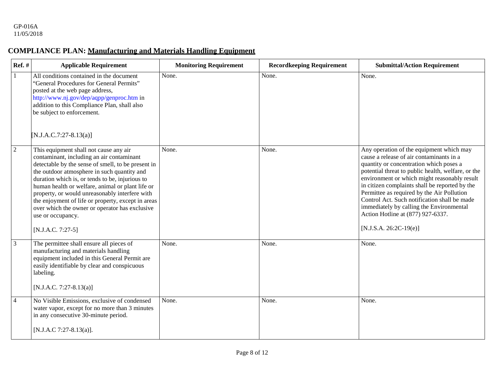#### **COMPLIANCE PLAN: Manufacturing and Materials Handling Equipment**

| $Ref.$ #       | <b>Applicable Requirement</b>                                                                                                                                                                                                                                                                                                                                                                                                                                                                         | <b>Monitoring Requirement</b> | <b>Recordkeeping Requirement</b> | <b>Submittal/Action Requirement</b>                                                                                                                                                                                                                                                                                                                                                                                                                                                                |
|----------------|-------------------------------------------------------------------------------------------------------------------------------------------------------------------------------------------------------------------------------------------------------------------------------------------------------------------------------------------------------------------------------------------------------------------------------------------------------------------------------------------------------|-------------------------------|----------------------------------|----------------------------------------------------------------------------------------------------------------------------------------------------------------------------------------------------------------------------------------------------------------------------------------------------------------------------------------------------------------------------------------------------------------------------------------------------------------------------------------------------|
| $\mathbf{1}$   | All conditions contained in the document<br>"General Procedures for General Permits"<br>posted at the web page address,<br>http://www.nj.gov/dep/aqpp/genproc.htm in<br>addition to this Compliance Plan, shall also<br>be subject to enforcement.<br>$[N.J.A.C.7:27-8.13(a)]$                                                                                                                                                                                                                        | None.                         | None.                            | None.                                                                                                                                                                                                                                                                                                                                                                                                                                                                                              |
| $\overline{2}$ | This equipment shall not cause any air<br>contaminant, including an air contaminant<br>detectable by the sense of smell, to be present in<br>the outdoor atmosphere in such quantity and<br>duration which is, or tends to be, injurious to<br>human health or welfare, animal or plant life or<br>property, or would unreasonably interfere with<br>the enjoyment of life or property, except in areas<br>over which the owner or operator has exclusive<br>use or occupancy.<br>$[N.J.A.C. 7:27-5]$ | None.                         | None.                            | Any operation of the equipment which may<br>cause a release of air contaminants in a<br>quantity or concentration which poses a<br>potential threat to public health, welfare, or the<br>environment or which might reasonably result<br>in citizen complaints shall be reported by the<br>Permittee as required by the Air Pollution<br>Control Act. Such notification shall be made<br>immediately by calling the Environmental<br>Action Hotline at (877) 927-6337.<br>$[N.J.S.A. 26:2C-19(e)]$ |
| $\mathfrak{Z}$ | The permittee shall ensure all pieces of<br>manufacturing and materials handling<br>equipment included in this General Permit are<br>easily identifiable by clear and conspicuous<br>labeling.<br>$[N.J.A.C. 7:27-8.13(a)]$                                                                                                                                                                                                                                                                           | None.                         | None.                            | None.                                                                                                                                                                                                                                                                                                                                                                                                                                                                                              |
| $\overline{4}$ | No Visible Emissions, exclusive of condensed<br>water vapor, except for no more than 3 minutes<br>in any consecutive 30-minute period.<br>[N.J.A.C 7:27-8.13(a)].                                                                                                                                                                                                                                                                                                                                     | None.                         | None.                            | None.                                                                                                                                                                                                                                                                                                                                                                                                                                                                                              |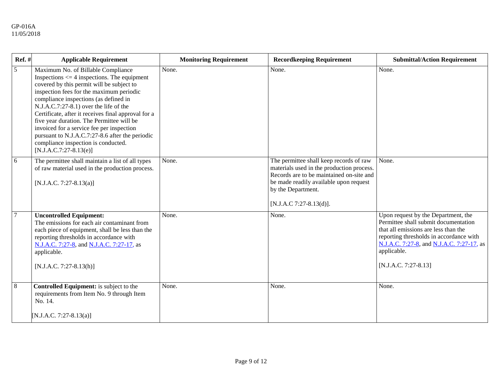| Ref. #         | <b>Applicable Requirement</b>                                                                                                                                                                                                                                                                                                                                                                                                                                                                                                            | <b>Monitoring Requirement</b> | <b>Recordkeeping Requirement</b>                                                                                                                                                                                            | <b>Submittal/Action Requirement</b>                                                                                                                                                                                                                  |
|----------------|------------------------------------------------------------------------------------------------------------------------------------------------------------------------------------------------------------------------------------------------------------------------------------------------------------------------------------------------------------------------------------------------------------------------------------------------------------------------------------------------------------------------------------------|-------------------------------|-----------------------------------------------------------------------------------------------------------------------------------------------------------------------------------------------------------------------------|------------------------------------------------------------------------------------------------------------------------------------------------------------------------------------------------------------------------------------------------------|
| $\overline{5}$ | Maximum No. of Billable Compliance<br>Inspections $\leq$ 4 inspections. The equipment<br>covered by this permit will be subject to<br>inspection fees for the maximum periodic<br>compliance inspections (as defined in<br>N.J.A.C.7:27-8.1) over the life of the<br>Certificate, after it receives final approval for a<br>five year duration. The Permittee will be<br>invoiced for a service fee per inspection<br>pursuant to N.J.A.C.7:27-8.6 after the periodic<br>compliance inspection is conducted.<br>$[N.J.A.C.7:27-8.13(e)]$ | None.                         | None.                                                                                                                                                                                                                       | None.                                                                                                                                                                                                                                                |
| $\overline{6}$ | The permittee shall maintain a list of all types<br>of raw material used in the production process.<br>$[N.J.A.C. 7:27-8.13(a)]$                                                                                                                                                                                                                                                                                                                                                                                                         | None.                         | The permittee shall keep records of raw<br>materials used in the production process.<br>Records are to be maintained on-site and<br>be made readily available upon request<br>by the Department.<br>[N.J.A.C 7:27-8.13(d)]. | None.                                                                                                                                                                                                                                                |
| $\overline{7}$ | <b>Uncontrolled Equipment:</b><br>The emissions for each air contaminant from<br>each piece of equipment, shall be less than the<br>reporting thresholds in accordance with<br>N.J.A.C. 7:27-8, and N.J.A.C. 7:27-17, as<br>applicable.<br>$[N.J.A.C. 7:27-8.13(h)]$                                                                                                                                                                                                                                                                     | None.                         | None.                                                                                                                                                                                                                       | Upon request by the Department, the<br>Permittee shall submit documentation<br>that all emissions are less than the<br>reporting thresholds in accordance with<br>N.J.A.C. 7:27-8, and N.J.A.C. 7:27-17, as<br>applicable.<br>$[N.J.A.C. 7:27-8.13]$ |
| $\sqrt{8}$     | Controlled Equipment: is subject to the<br>requirements from Item No. 9 through Item<br>No. 14.<br>[N.J.A.C. 7:27-8.13(a)]                                                                                                                                                                                                                                                                                                                                                                                                               | None.                         | None.                                                                                                                                                                                                                       | None.                                                                                                                                                                                                                                                |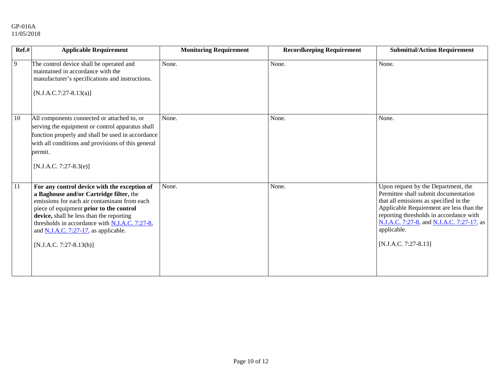#### GP-016A 11/05/2018

| Ref.# | <b>Applicable Requirement</b>                                                                                                                                                                                                                                                                                                                               | <b>Monitoring Requirement</b> | <b>Recordkeeping Requirement</b> | <b>Submittal/Action Requirement</b>                                                                                                                                                                                                                                                              |
|-------|-------------------------------------------------------------------------------------------------------------------------------------------------------------------------------------------------------------------------------------------------------------------------------------------------------------------------------------------------------------|-------------------------------|----------------------------------|--------------------------------------------------------------------------------------------------------------------------------------------------------------------------------------------------------------------------------------------------------------------------------------------------|
| 9     | The control device shall be operated and<br>maintained in accordance with the<br>manufacturer's specifications and instructions.<br>$[N.J.A.C.7:27-8.13(a)]$                                                                                                                                                                                                | None.                         | None.                            | None.                                                                                                                                                                                                                                                                                            |
| 10    | All components connected or attached to, or<br>serving the equipment or control apparatus shall<br>function properly and shall be used in accordance<br>with all conditions and provisions of this general<br>permit.<br>$[N.J.A.C. 7:27-8.3(e)]$                                                                                                           | None.                         | None.                            | None.                                                                                                                                                                                                                                                                                            |
| 11    | For any control device with the exception of<br>a Baghouse and/or Cartridge filter, the<br>emissions for each air contaminant from each<br>piece of equipment prior to the control<br>device, shall be less than the reporting<br>thresholds in accordance with $N.J.A.C. 7:27-8$ ,<br>and $N.J.A.C. 7:27-17$ , as applicable.<br>$[N.J.A.C. 7:27-8.13(h)]$ | None.                         | None.                            | Upon request by the Department, the<br>Permittee shall submit documentation<br>that all emissions as specified in the<br>Applicable Requirement are less than the<br>reporting thresholds in accordance with<br>N.J.A.C. 7:27-8, and N.J.A.C. 7:27-17, as<br>applicable.<br>[N.J.A.C. 7:27-8.13] |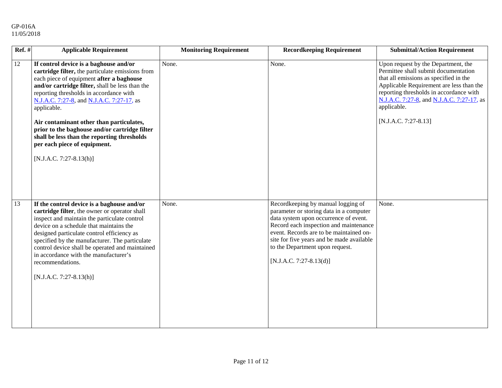| $\overline{\text{Ref.}}$ # | <b>Applicable Requirement</b>                                                                                                                                                                                                                                                                                                                                                                                                                                                                             | <b>Monitoring Requirement</b> | <b>Recordkeeping Requirement</b>                                                                                                                                                                                                                                                                                       | <b>Submittal/Action Requirement</b>                                                                                                                                                                                                                                                              |
|----------------------------|-----------------------------------------------------------------------------------------------------------------------------------------------------------------------------------------------------------------------------------------------------------------------------------------------------------------------------------------------------------------------------------------------------------------------------------------------------------------------------------------------------------|-------------------------------|------------------------------------------------------------------------------------------------------------------------------------------------------------------------------------------------------------------------------------------------------------------------------------------------------------------------|--------------------------------------------------------------------------------------------------------------------------------------------------------------------------------------------------------------------------------------------------------------------------------------------------|
| 12                         | If control device is a baghouse and/or<br>cartridge filter, the particulate emissions from<br>each piece of equipment after a baghouse<br>and/or cartridge filter, shall be less than the<br>reporting thresholds in accordance with<br>N.J.A.C. 7:27-8, and N.J.A.C. 7:27-17, as<br>applicable.<br>Air contaminant other than particulates,<br>prior to the baghouse and/or cartridge filter<br>shall be less than the reporting thresholds<br>per each piece of equipment.<br>$[N.J.A.C. 7:27-8.13(h)]$ | None.                         | None.                                                                                                                                                                                                                                                                                                                  | Upon request by the Department, the<br>Permittee shall submit documentation<br>that all emissions as specified in the<br>Applicable Requirement are less than the<br>reporting thresholds in accordance with<br>N.J.A.C. 7:27-8, and N.J.A.C. 7:27-17, as<br>applicable.<br>[N.J.A.C. 7:27-8.13] |
| 13                         | If the control device is a baghouse and/or<br>cartridge filter, the owner or operator shall<br>inspect and maintain the particulate control<br>device on a schedule that maintains the<br>designed particulate control efficiency as<br>specified by the manufacturer. The particulate<br>control device shall be operated and maintained<br>in accordance with the manufacturer's<br>recommendations.<br>$[N.J.A.C. 7:27-8.13(h)]$                                                                       | None.                         | Recordkeeping by manual logging of<br>parameter or storing data in a computer<br>data system upon occurrence of event.<br>Record each inspection and maintenance<br>event. Records are to be maintained on-<br>site for five years and be made available<br>to the Department upon request.<br>[N.J.A.C. 7:27-8.13(d)] | None.                                                                                                                                                                                                                                                                                            |